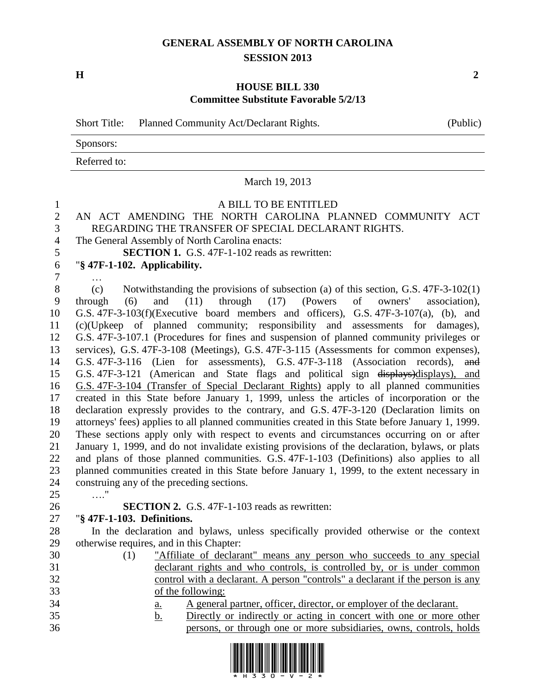## **GENERAL ASSEMBLY OF NORTH CAROLINA SESSION 2013**

**H 2**

## **HOUSE BILL 330 Committee Substitute Favorable 5/2/13**

March 19, 2013

Short Title: Planned Community Act/Declarant Rights. (Public)

Sponsors:

Referred to:

 A BILL TO BE ENTITLED AN ACT AMENDING THE NORTH CAROLINA PLANNED COMMUNITY ACT REGARDING THE TRANSFER OF SPECIAL DECLARANT RIGHTS. The General Assembly of North Carolina enacts: **SECTION 1.** G.S. 47F-1-102 reads as rewritten: "**§ 47F-1-102. Applicability.** … (c) Notwithstanding the provisions of subsection (a) of this section, G.S. 47F-3-102(1) through (6) and (11) through (17) (Powers of owners' association), G.S. 47F-3-103(f)(Executive board members and officers), G.S. 47F-3-107(a), (b), and (c)(Upkeep of planned community; responsibility and assessments for damages), G.S. 47F-3-107.1 (Procedures for fines and suspension of planned community privileges or services), G.S. 47F-3-108 (Meetings), G.S. 47F-3-115 (Assessments for common expenses), G.S. 47F-3-116 (Lien for assessments), G.S. 47F-3-118 (Association records), and 15 G.S. 47F-3-121 (American and State flags and political sign displays)displays), and G.S. 47F-3-104 (Transfer of Special Declarant Rights) apply to all planned communities created in this State before January 1, 1999, unless the articles of incorporation or the declaration expressly provides to the contrary, and G.S. 47F-3-120 (Declaration limits on attorneys' fees) applies to all planned communities created in this State before January 1, 1999. These sections apply only with respect to events and circumstances occurring on or after January 1, 1999, and do not invalidate existing provisions of the declaration, bylaws, or plats and plans of those planned communities. G.S. 47F-1-103 (Definitions) also applies to all planned communities created in this State before January 1, 1999, to the extent necessary in construing any of the preceding sections. …." **SECTION 2.** G.S. 47F-1-103 reads as rewritten: "**§ 47F-1-103. Definitions.** In the declaration and bylaws, unless specifically provided otherwise or the context otherwise requires, and in this Chapter: (1) "Affiliate of declarant" means any person who succeeds to any special declarant rights and who controls, is controlled by, or is under common control with a declarant. A person "controls" a declarant if the person is any of the following:

- a. A general partner, officer, director, or employer of the declarant.
- 35 b. Directly or indirectly or acting in concert with one or more other persons, or through one or more subsidiaries, owns, controls, holds

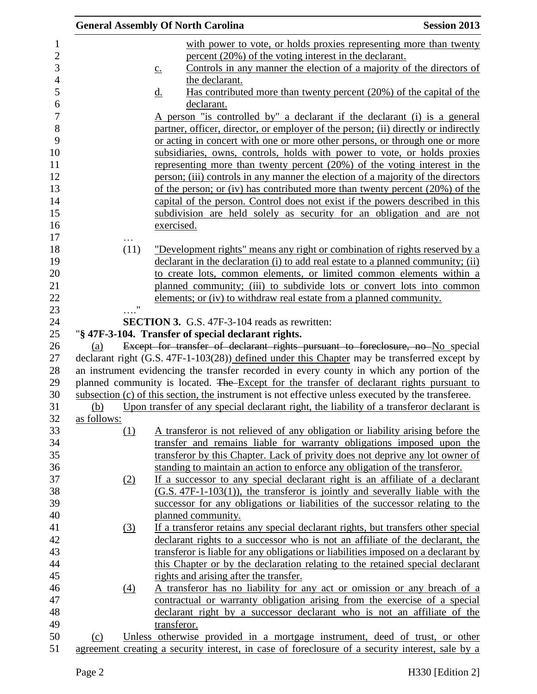|             |           | <b>General Assembly Of North Carolina</b>                                                          | <b>Session 2013</b> |
|-------------|-----------|----------------------------------------------------------------------------------------------------|---------------------|
|             |           | with power to vote, or holds proxies representing more than twenty                                 |                     |
|             |           | percent (20%) of the voting interest in the declarant.                                             |                     |
|             |           | Controls in any manner the election of a majority of the directors of<br>$\underline{c}$ .         |                     |
|             |           | the declarant.                                                                                     |                     |
|             |           | Has contributed more than twenty percent $(20\%)$ of the capital of the<br><u>d.</u>               |                     |
|             |           | declarant.                                                                                         |                     |
|             |           | A person "is controlled by" a declarant if the declarant (i) is a general                          |                     |
|             |           | partner, officer, director, or employer of the person; (ii) directly or indirectly                 |                     |
|             |           | or acting in concert with one or more other persons, or through one or more                        |                     |
|             |           | subsidiaries, owns, controls, holds with power to vote, or holds proxies                           |                     |
|             |           | representing more than twenty percent (20%) of the voting interest in the                          |                     |
|             |           | person; (iii) controls in any manner the election of a majority of the directors                   |                     |
|             |           | of the person; or (iv) has contributed more than twenty percent (20%) of the                       |                     |
|             |           | capital of the person. Control does not exist if the powers described in this                      |                     |
|             |           | subdivision are held solely as security for an obligation and are not                              |                     |
|             |           | exercised.                                                                                         |                     |
|             |           |                                                                                                    |                     |
|             | .<br>(11) | "Development rights" means any right or combination of rights reserved by a                        |                     |
|             |           | declarant in the declaration (i) to add real estate to a planned community; (ii)                   |                     |
|             |           | to create lots, common elements, or limited common elements within a                               |                     |
|             |           | planned community; (iii) to subdivide lots or convert lots into common                             |                     |
|             |           | elements; or (iv) to withdraw real estate from a planned community.                                |                     |
|             |           |                                                                                                    |                     |
|             |           | <b>SECTION 3.</b> G.S. 47F-3-104 reads as rewritten:                                               |                     |
|             |           | "§ 47F-3-104. Transfer of special declarant rights.                                                |                     |
| (a)         |           | Except for transfer of declarant rights pursuant to foreclosure, no No special                     |                     |
|             |           | declarant right (G.S. 47F-1-103(28)) defined under this Chapter may be transferred except by       |                     |
|             |           | an instrument evidencing the transfer recorded in every county in which any portion of the         |                     |
|             |           | planned community is located. The Except for the transfer of declarant rights pursuant to          |                     |
|             |           | subsection (c) of this section, the instrument is not effective unless executed by the transferee. |                     |
| (b)         |           | Upon transfer of any special declarant right, the liability of a transferor declarant is           |                     |
| as follows: |           |                                                                                                    |                     |
|             | (1)       | A transferor is not relieved of any obligation or liability arising before the                     |                     |
|             |           | transfer and remains liable for warranty obligations imposed upon the                              |                     |
|             |           | transferor by this Chapter. Lack of privity does not deprive any lot owner of                      |                     |
|             |           | standing to maintain an action to enforce any obligation of the transferor.                        |                     |
|             | (2)       | If a successor to any special declarant right is an affiliate of a declarant                       |                     |
|             |           | $(G.S. 47F-1-103(1))$ , the transferor is jointly and severally liable with the                    |                     |
|             |           | successor for any obligations or liabilities of the successor relating to the                      |                     |
|             |           | planned community.                                                                                 |                     |
|             | (3)       | If a transferor retains any special declarant rights, but transfers other special                  |                     |
|             |           | declarant rights to a successor who is not an affiliate of the declarant, the                      |                     |
|             |           | transferor is liable for any obligations or liabilities imposed on a declarant by                  |                     |
|             |           | this Chapter or by the declaration relating to the retained special declarant                      |                     |
|             |           | rights and arising after the transfer.                                                             |                     |
|             | (4)       | A transferor has no liability for any act or omission or any breach of a                           |                     |
|             |           | contractual or warranty obligation arising from the exercise of a special                          |                     |
|             |           | declarant right by a successor declarant who is not an affiliate of the                            |                     |
|             |           | transferor.                                                                                        |                     |
| (c)         |           | Unless otherwise provided in a mortgage instrument, deed of trust, or other                        |                     |
|             |           | agreement creating a security interest, in case of foreclosure of a security interest, sale by a   |                     |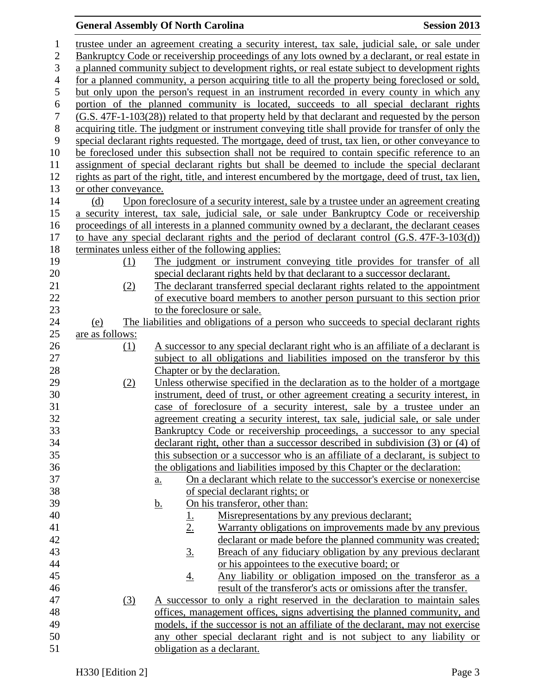## **General Assembly Of North Carolina Session 2013**

| $\mathbf{1}$   | trustee under an agreement creating a security interest, tax sale, judicial sale, or sale under       |                                                                                                    |  |  |  |  |  |
|----------------|-------------------------------------------------------------------------------------------------------|----------------------------------------------------------------------------------------------------|--|--|--|--|--|
| $\overline{2}$ | Bankruptcy Code or receivership proceedings of any lots owned by a declarant, or real estate in       |                                                                                                    |  |  |  |  |  |
| 3              | a planned community subject to development rights, or real estate subject to development rights       |                                                                                                    |  |  |  |  |  |
| $\overline{4}$ |                                                                                                       | for a planned community, a person acquiring title to all the property being foreclosed or sold,    |  |  |  |  |  |
| 5              |                                                                                                       | but only upon the person's request in an instrument recorded in every county in which any          |  |  |  |  |  |
| 6              |                                                                                                       | portion of the planned community is located, succeeds to all special declarant rights              |  |  |  |  |  |
| 7              |                                                                                                       | (G.S. 47F-1-103(28)) related to that property held by that declarant and requested by the person   |  |  |  |  |  |
| 8              |                                                                                                       | acquiring title. The judgment or instrument conveying title shall provide for transfer of only the |  |  |  |  |  |
| 9              |                                                                                                       | special declarant rights requested. The mortgage, deed of trust, tax lien, or other conveyance to  |  |  |  |  |  |
| 10             | be foreclosed under this subsection shall not be required to contain specific reference to an         |                                                                                                    |  |  |  |  |  |
| 11             | assignment of special declarant rights but shall be deemed to include the special declarant           |                                                                                                    |  |  |  |  |  |
| 12             | rights as part of the right, title, and interest encumbered by the mortgage, deed of trust, tax lien, |                                                                                                    |  |  |  |  |  |
| 13             | or other conveyance.                                                                                  |                                                                                                    |  |  |  |  |  |
| 14             | (d)                                                                                                   | Upon foreclosure of a security interest, sale by a trustee under an agreement creating             |  |  |  |  |  |
| 15             |                                                                                                       | a security interest, tax sale, judicial sale, or sale under Bankruptcy Code or receivership        |  |  |  |  |  |
| 16             |                                                                                                       | proceedings of all interests in a planned community owned by a declarant, the declarant ceases     |  |  |  |  |  |
| 17             |                                                                                                       | to have any special declarant rights and the period of declarant control (G.S. 47F-3-103(d))       |  |  |  |  |  |
| 18             |                                                                                                       | terminates unless either of the following applies:                                                 |  |  |  |  |  |
| 19             | (1)                                                                                                   | The judgment or instrument conveying title provides for transfer of all                            |  |  |  |  |  |
| 20             |                                                                                                       | special declarant rights held by that declarant to a successor declarant.                          |  |  |  |  |  |
| 21             | (2)                                                                                                   | The declarant transferred special declarant rights related to the appointment                      |  |  |  |  |  |
| 22             |                                                                                                       | of executive board members to another person pursuant to this section prior                        |  |  |  |  |  |
| 23             |                                                                                                       |                                                                                                    |  |  |  |  |  |
|                |                                                                                                       | to the foreclosure or sale.                                                                        |  |  |  |  |  |
| 24             | (e)                                                                                                   | The liabilities and obligations of a person who succeeds to special declarant rights               |  |  |  |  |  |
| 25             | are as follows:                                                                                       |                                                                                                    |  |  |  |  |  |
| 26             | (1)                                                                                                   | A successor to any special declarant right who is an affiliate of a declarant is                   |  |  |  |  |  |
| 27             |                                                                                                       | subject to all obligations and liabilities imposed on the transferor by this                       |  |  |  |  |  |
| 28             |                                                                                                       | Chapter or by the declaration.                                                                     |  |  |  |  |  |
| 29             | (2)                                                                                                   | Unless otherwise specified in the declaration as to the holder of a mortgage                       |  |  |  |  |  |
| 30             |                                                                                                       | instrument, deed of trust, or other agreement creating a security interest, in                     |  |  |  |  |  |
| 31             |                                                                                                       | case of foreclosure of a security interest, sale by a trustee under an                             |  |  |  |  |  |
| 32             |                                                                                                       | agreement creating a security interest, tax sale, judicial sale, or sale under                     |  |  |  |  |  |
| 33             |                                                                                                       | Bankruptcy Code or receivership proceedings, a successor to any special                            |  |  |  |  |  |
| 34             |                                                                                                       | declarant right, other than a successor described in subdivision (3) or (4) of                     |  |  |  |  |  |
| 35             |                                                                                                       | this subsection or a successor who is an affiliate of a declarant, is subject to                   |  |  |  |  |  |
| 36             |                                                                                                       | the obligations and liabilities imposed by this Chapter or the declaration:                        |  |  |  |  |  |
| 37             |                                                                                                       | On a declarant which relate to the successor's exercise or nonexercise<br><u>a.</u>                |  |  |  |  |  |
| 38             |                                                                                                       | of special declarant rights; or                                                                    |  |  |  |  |  |
| 39             |                                                                                                       | On his transferor, other than:<br><u>b.</u>                                                        |  |  |  |  |  |
| 40             |                                                                                                       | Misrepresentations by any previous declarant;                                                      |  |  |  |  |  |
| 41             |                                                                                                       | $\frac{1}{2}$<br>Warranty obligations on improvements made by any previous                         |  |  |  |  |  |
| 42             |                                                                                                       | declarant or made before the planned community was created;                                        |  |  |  |  |  |
| 43             |                                                                                                       | Breach of any fiduciary obligation by any previous declarant<br><u>3.</u>                          |  |  |  |  |  |
| 44             |                                                                                                       | or his appointees to the executive board; or                                                       |  |  |  |  |  |
| 45             |                                                                                                       | Any liability or obligation imposed on the transferor as a<br><u>4.</u>                            |  |  |  |  |  |
| 46             |                                                                                                       | result of the transferor's acts or omissions after the transfer.                                   |  |  |  |  |  |
| 47             | $\left(3\right)$                                                                                      | A successor to only a right reserved in the declaration to maintain sales                          |  |  |  |  |  |
| 48             |                                                                                                       | offices, management offices, signs advertising the planned community, and                          |  |  |  |  |  |
| 49             |                                                                                                       | models, if the successor is not an affiliate of the declarant, may not exercise                    |  |  |  |  |  |
| 50             |                                                                                                       | any other special declarant right and is not subject to any liability or                           |  |  |  |  |  |
| 51             |                                                                                                       | obligation as a declarant.                                                                         |  |  |  |  |  |
|                |                                                                                                       |                                                                                                    |  |  |  |  |  |